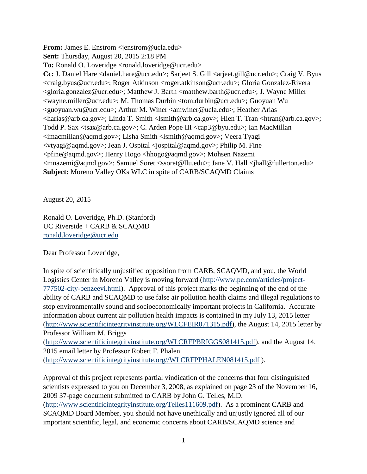**From:** James E. Enstrom <*jenstrom@ucla.edu>* 

**Sent:** Thursday, August 20, 2015 2:18 PM

**To:** Ronald O. Loveridge <ronald.loveridge@ucr.edu>

**Cc:** J. Daniel Hare <daniel.hare@ucr.edu>; Sarjeet S. Gill <arjeet.gill@ucr.edu>; Craig V. Byus <craig.byus@ucr.edu>; Roger Atkinson <roger.atkinson@ucr.edu>; Gloria Gonzalez-Rivera <gloria.gonzalez@ucr.edu>; Matthew J. Barth <matthew.barth@ucr.edu>; J. Wayne Miller <wayne.miller@ucr.edu>; M. Thomas Durbin <tom.durbin@ucr.edu>; Guoyuan Wu <guoyuan.wu@ucr.edu>; Arthur M. Winer <amwiner@ucla.edu>; Heather Arias <harias@arb.ca.gov>; Linda T. Smith <lsmith@arb.ca.gov>; Hien T. Tran <htran@arb.ca.gov>; Todd P. Sax <tsax@arb.ca.gov>; C. Arden Pope III <cap3@byu.edu>; Ian MacMillan <imacmillan@aqmd.gov>; Lisha Smith <lsmith@aqmd.gov>; Veera Tyagi <vtyagi@aqmd.gov>; Jean J. Ospital <jospital@aqmd.gov>; Philip M. Fine <pfine@aqmd.gov>; Henry Hogo <hhogo@aqmd.gov>; Mohsen Nazemi <mnazemi@aqmd.gov>; Samuel Soret <ssoret@llu.edu>; Jane V. Hall <jhall@fullerton.edu> **Subject:** Moreno Valley OKs WLC in spite of CARB/SCAQMD Claims

August 20, 2015

Ronald O. Loveridge, Ph.D. (Stanford) UC Riverside + CARB & SCAQMD [ronald.loveridge@ucr.edu](mailto:ronald.loveridge@ucr.edu)

Dear Professor Loveridge,

In spite of scientifically unjustified opposition from CARB, SCAQMD, and you, the World Logistics Center in Moreno Valley is moving forward [\(http://www.pe.com/articles/project-](http://www.pe.com/articles/project-777502-city-benzeevi.html)[777502-city-benzeevi.html\)](http://www.pe.com/articles/project-777502-city-benzeevi.html). Approval of this project marks the beginning of the end of the ability of CARB and SCAQMD to use false air pollution health claims and illegal regulations to stop environmentally sound and socioeconomically important projects in California. Accurate information about current air pollution health impacts is contained in my July 13, 2015 letter [\(http://www.scientificintegrityinstitute.org/WLCFEIR071315.pdf\)](http://www.scientificintegrityinstitute.org/WLCFEIR071315.pdf), the August 14, 2015 letter by Professor William M. Briggs

[\(http://www.scientificintegrityinstitute.org/WLCRFPBRIGGS081415.pdf\)](http://www.scientificintegrityinstitute.org/WLCRFPBRIGGS081415.pdf), and the August 14, 2015 email letter by Professor Robert F. Phalen

[\(http://www.scientificintegrityinstitute.org//WLCRFPPHALEN081415.pdf](http://www.scientificintegrityinstitute.org/WLCRFPPHALEN081415.pdf) ).

Approval of this project represents partial vindication of the concerns that four distinguished scientists expressed to you on December 3, 2008, as explained on page 23 of the November 16, 2009 37-page document submitted to CARB by John G. Telles, M.D. [\(http://www.scientificintegrityinstitute.org/Telles111609.pdf\)](http://www.scientificintegrityinstitute.org/Telles111609.pdf). As a prominent CARB and SCAQMD Board Member, you should not have unethically and unjustly ignored all of our important scientific, legal, and economic concerns about CARB/SCAQMD science and